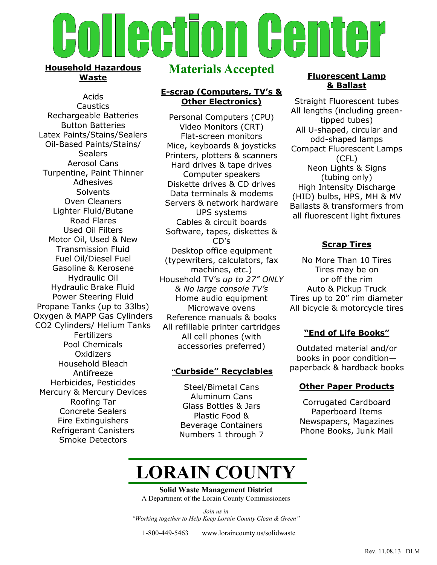

### **Household Hazardous Waste**

Acids **Caustics** Rechargeable Batteries Button Batteries Latex Paints/Stains/Sealers Oil-Based Paints/Stains/ **Sealers** Aerosol Cans Turpentine, Paint Thinner Adhesives **Solvents** Oven Cleaners Lighter Fluid/Butane Road Flares Used Oil Filters Motor Oil, Used & New Transmission Fluid Fuel Oil/Diesel Fuel Gasoline & Kerosene Hydraulic Oil Hydraulic Brake Fluid Power Steering Fluid Propane Tanks (up to 33lbs) Oxygen & MAPP Gas Cylinders CO2 Cylinders/ Helium Tanks Fertilizers Pool Chemicals **Oxidizers** Household Bleach Antifreeze Herbicides, Pesticides Mercury & Mercury Devices Roofing Tar Concrete Sealers Fire Extinguishers Refrigerant Canisters Smoke Detectors

# **Materials Accepted**

#### **E-scrap (Computers, TV's & Other Electronics)**

Personal Computers (CPU) Video Monitors (CRT) Flat-screen monitors Mice, keyboards & joysticks Printers, plotters & scanners Hard drives & tape drives Computer speakers Diskette drives & CD drives Data terminals & modems Servers & network hardware UPS systems Cables & circuit boards Software, tapes, diskettes & CD's Desktop office equipment (typewriters, calculators, fax machines, etc.) Household TV's *up to 27" ONLY & No large console TV's* Home audio equipment Microwave ovens Reference manuals & books All refillable printer cartridges All cell phones (with accessories preferred)

### "**Curbside" Recyclables**

Steel/Bimetal Cans Aluminum Cans Glass Bottles & Jars Plastic Food & Beverage Containers Numbers 1 through 7

#### **Fluorescent Lamp & Ballast**

Straight Fluorescent tubes All lengths (including greentipped tubes) All U-shaped, circular and odd-shaped lamps Compact Fluorescent Lamps (CFL) Neon Lights & Signs (tubing only) High Intensity Discharge (HID) bulbs, HPS, MH & MV Ballasts & transformers from all fluorescent light fixtures

## **Scrap Tires**

No More Than 10 Tires Tires may be on or off the rim Auto & Pickup Truck Tires up to 20" rim diameter All bicycle & motorcycle tires

# **"End of Life Books"**

Outdated material and/or books in poor condition paperback & hardback books

## **Other Paper Products**

Corrugated Cardboard Paperboard Items Newspapers, Magazines Phone Books, Junk Mail

# **LORAIN COUNTY**

**Solid Waste Management District** A Department of the Lorain County Commissioners

*Join us in "Working together to Help Keep Lorain County Clean & Green"*

1-800-449-5463 www.loraincounty.us/solidwaste